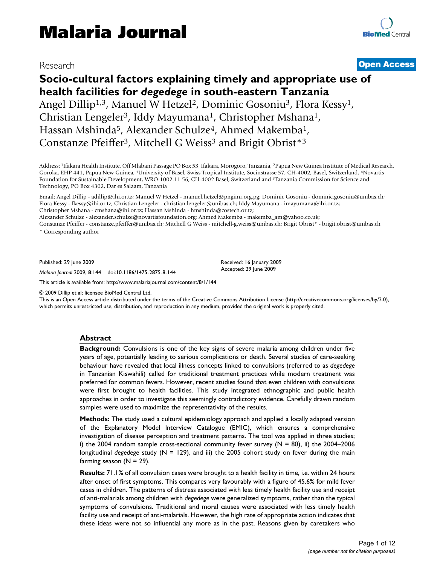# Research **[Open Access](http://www.biomedcentral.com/info/about/charter/)**

# **Socio-cultural factors explaining timely and appropriate use of health facilities for** *degedege* **in south-eastern Tanzania** Angel Dillip<sup>1,3</sup>, Manuel W Hetzel<sup>2</sup>, Dominic Gosoniu<sup>3</sup>, Flora Kessy<sup>1</sup>, Christian Lengeler3, Iddy Mayumana1, Christopher Mshana1,

Hassan Mshinda5, Alexander Schulze4, Ahmed Makemba1, Constanze Pfeiffer<sup>3</sup>, Mitchell G Weiss<sup>3</sup> and Brigit Obrist<sup>\*3</sup>

Address: 1Ifakara Health Institute, Off Mlabani Passage PO Box 53, Ifakara, Morogoro, Tanzania, 2Papua New Guinea Institute of Medical Research, Goroka, EHP 441, Papua New Guinea, 3University of Basel, Swiss Tropical Institute, Socinstrasse 57, CH-4002, Basel, Switzerland, 4Novartis Foundation for Sustainable Development, WRO-1002.11.56, CH-4002 Basel, Switzerland and 5Tanzania Commission for Science and Technology, PO Box 4302, Dar es Salaam, Tanzania

Email: Angel Dillip - adillip@ihi.or.tz; Manuel W Hetzel - manuel.hetzel@pngimr.org.pg; Dominic Gosoniu - dominic.gosoniu@unibas.ch; Flora Kessy - fkessy@ihi.or.tz; Christian Lengeler - christian.lengeler@unibas.ch; Iddy Mayumana - imayumana@ihi.or.tz; Christopher Mshana - cmshana@ihi.or.tz; Hassan Mshinda - hmshinda@costech.or.tz; Alexander Schulze - alexander.schulze@novartisfoundation.org; Ahmed Makemba - makemba\_am@yahoo.co.uk;

Constanze Pfeiffer - constanze.pfeiffer@unibas.ch; Mitchell G Weiss - mitchell-g.weiss@unibas.ch; Brigit Obrist\* - brigit.obrist@unibas.ch \* Corresponding author

Published: 29 June 2009

*Malaria Journal* 2009, **8**:144 doi:10.1186/1475-2875-8-144

Received: 16 January 2009 Accepted: 29 June 2009

[This article is available from: http://www.malariajournal.com/content/8/1/144](http://www.malariajournal.com/content/8/1/144)

© 2009 Dillip et al; licensee BioMed Central Ltd.

This is an Open Access article distributed under the terms of the Creative Commons Attribution License [\(http://creativecommons.org/licenses/by/2.0\)](http://creativecommons.org/licenses/by/2.0), which permits unrestricted use, distribution, and reproduction in any medium, provided the original work is properly cited.

#### **Abstract**

**Background:** Convulsions is one of the key signs of severe malaria among children under five years of age, potentially leading to serious complications or death. Several studies of care-seeking behaviour have revealed that local illness concepts linked to convulsions (referred to as *degedege* in Tanzanian Kiswahili) called for traditional treatment practices while modern treatment was preferred for common fevers. However, recent studies found that even children with convulsions were first brought to health facilities. This study integrated ethnographic and public health approaches in order to investigate this seemingly contradictory evidence. Carefully drawn random samples were used to maximize the representativity of the results.

**Methods:** The study used a cultural epidemiology approach and applied a locally adapted version of the Explanatory Model Interview Catalogue (EMIC), which ensures a comprehensive investigation of disease perception and treatment patterns. The tool was applied in three studies; i) the 2004 random sample cross-sectional community fever survey  $(N = 80)$ , ii) the 2004–2006 longitudinal *degedege* study (N = 129), and iii) the 2005 cohort study on fever during the main farming season  $(N = 29)$ .

**Results:** 71.1% of all convulsion cases were brought to a health facility in time, i.e. within 24 hours after onset of first symptoms. This compares very favourably with a figure of 45.6% for mild fever cases in children. The patterns of distress associated with less timely health facility use and receipt of anti-malarials among children with *degedege* were generalized symptoms, rather than the typical symptoms of convulsions. Traditional and moral causes were associated with less timely health facility use and receipt of anti-malarials. However, the high rate of appropriate action indicates that these ideas were not so influential any more as in the past. Reasons given by caretakers who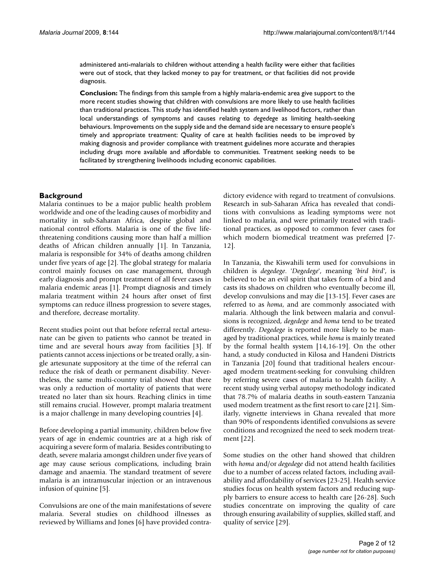administered anti-malarials to children without attending a health facility were either that facilities were out of stock, that they lacked money to pay for treatment, or that facilities did not provide diagnosis.

**Conclusion:** The findings from this sample from a highly malaria-endemic area give support to the more recent studies showing that children with convulsions are more likely to use health facilities than traditional practices. This study has identified health system and livelihood factors, rather than local understandings of symptoms and causes relating to *degedege* as limiting health-seeking behaviours. Improvements on the supply side and the demand side are necessary to ensure people's timely and appropriate treatment: Quality of care at health facilities needs to be improved by making diagnosis and provider compliance with treatment guidelines more accurate and therapies including drugs more available and affordable to communities. Treatment seeking needs to be facilitated by strengthening livelihoods including economic capabilities.

# **Background**

Malaria continues to be a major public health problem worldwide and one of the leading causes of morbidity and mortality in sub-Saharan Africa, despite global and national control efforts. Malaria is one of the five lifethreatening conditions causing more than half a million deaths of African children annually [1]. In Tanzania, malaria is responsible for 34% of deaths among children under five years of age [2]. The global strategy for malaria control mainly focuses on case management, through early diagnosis and prompt treatment of all fever cases in malaria endemic areas [1]. Prompt diagnosis and timely malaria treatment within 24 hours after onset of first symptoms can reduce illness progression to severe stages, and therefore, decrease mortality.

Recent studies point out that before referral rectal artesunate can be given to patients who cannot be treated in time and are several hours away from facilities [3]. If patients cannot access injections or be treated orally, a single artesunate suppository at the time of the referral can reduce the risk of death or permanent disability. Nevertheless, the same multi-country trial showed that there was only a reduction of mortality of patients that were treated no later than six hours. Reaching clinics in time still remains crucial. However, prompt malaria treatment is a major challenge in many developing countries [4].

Before developing a partial immunity, children below five years of age in endemic countries are at a high risk of acquiring a severe form of malaria. Besides contributing to death, severe malaria amongst children under five years of age may cause serious complications, including brain damage and anaemia. The standard treatment of severe malaria is an intramuscular injection or an intravenous infusion of quinine [5].

Convulsions are one of the main manifestations of severe malaria. Several studies on childhood illnesses as reviewed by Williams and Jones [6] have provided contradictory evidence with regard to treatment of convulsions. Research in sub-Saharan Africa has revealed that conditions with convulsions as leading symptoms were not linked to malaria, and were primarily treated with traditional practices, as opposed to common fever cases for which modern biomedical treatment was preferred [7- 12].

In Tanzania, the Kiswahili term used for convulsions in children is *degedege*. '*Degedege*', meaning '*bird bird'*, is believed to be an evil spirit that takes form of a bird and casts its shadows on children who eventually become ill, develop convulsions and may die [13-15]. Fever cases are referred to as *homa*, and are commonly associated with malaria. Although the link between malaria and convulsions is recognized, *degedege* and *homa* tend to be treated differently. *Degedege* is reported more likely to be managed by traditional practices, while *homa* is mainly treated by the formal health system [14,16-19]. On the other hand, a study conducted in Kilosa and Handeni Districts in Tanzania [20] found that traditional healers encouraged modern treatment-seeking for convulsing children by referring severe cases of malaria to health facility. A recent study using verbal autopsy methodology indicated that 78.7% of malaria deaths in south-eastern Tanzania used modern treatment as the first resort to care [21]. Similarly, vignette interviews in Ghana revealed that more than 90% of respondents identified convulsions as severe conditions and recognized the need to seek modern treatment [22].

Some studies on the other hand showed that children with *homa* and/or *degedege* did not attend health facilities due to a number of access related factors, including availability and affordability of services [23-25]. Health service studies focus on health system factors and reducing supply barriers to ensure access to health care [26-28]. Such studies concentrate on improving the quality of care through ensuring availability of supplies, skilled staff, and quality of service [29].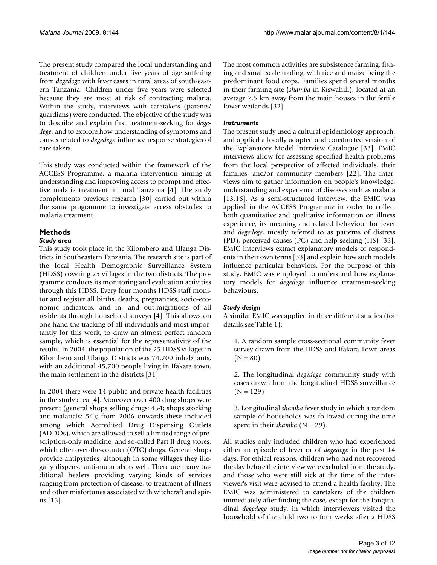The present study compared the local understanding and treatment of children under five years of age suffering from *degedege* with fever cases in rural areas of south-eastern Tanzania. Children under five years were selected because they are most at risk of contracting malaria. Within the study, interviews with caretakers (parents/ guardians) were conducted. The objective of the study was to describe and explain first treatment-seeking for *degedege*, and to explore how understanding of symptoms and causes related to *degedege* influence response strategies of care takers.

This study was conducted within the framework of the ACCESS Programme, a malaria intervention aiming at understanding and improving access to prompt and effective malaria treatment in rural Tanzania [4]. The study complements previous research [30] carried out within the same programme to investigate access obstacles to malaria treatment.

## **Methods**

#### *Study area*

This study took place in the Kilombero and Ulanga Districts in Southeastern Tanzania. The research site is part of the local Health Demographic Surveillance System (HDSS) covering 25 villages in the two districts. The programme conducts its monitoring and evaluation activities through this HDSS. Every four months HDSS staff monitor and register all births, deaths, pregnancies, socio-economic indicators, and in- and out-migrations of all residents through household surveys [4]. This allows on one hand the tracking of all individuals and most importantly for this work, to draw an almost perfect random sample, which is essential for the representativity of the results. In 2004, the population of the 25 HDSS villages in Kilombero and Ulanga Districts was 74,200 inhabitants, with an additional 45,700 people living in Ifakara town, the main settlement in the districts [31].

In 2004 there were 14 public and private health facilities in the study area [4]. Moreover over 400 drug shops were present (general shops selling drugs: 454; shops stocking anti-malarials: 54); from 2006 onwards these included among which Accredited Drug Dispensing Outlets (ADDOs), which are allowed to sell a limited range of prescription-only medicine, and so-called Part II drug stores, which offer over-the-counter (OTC) drugs. General shops provide antipyretics, although in some villages they illegally dispense anti-malarials as well. There are many traditional healers providing varying kinds of services ranging from protection of disease, to treatment of illness and other misfortunes associated with witchcraft and spirits [13].

The most common activities are subsistence farming, fishing and small scale trading, with rice and maize being the predominant food crops. Families spend several months in their farming site (*shamba* in Kiswahili), located at an average 7.5 km away from the main houses in the fertile lower wetlands [32].

#### *Instruments*

The present study used a cultural epidemiology approach, and applied a locally adapted and constructed version of the Explanatory Model Interview Catalogue [33]. EMIC interviews allow for assessing specified health problems from the local perspective of affected individuals, their families, and/or community members [22]. The interviews aim to gather information on people's knowledge, understanding and experience of diseases such as malaria [13,16]. As a semi-structured interview, the EMIC was applied in the ACCESS Programme in order to collect both quantitative and qualitative information on illness experience, its meaning and related behaviour for fever and *degedege*, mostly referred to as patterns of distress (PD), perceived causes (PC) and help-seeking (HS) [33]. EMIC interviews extract explanatory models of respondents in their own terms [33] and explain how such models influence particular behaviors. For the purpose of this study, EMIC was employed to understand how explanatory models for *degedege* influence treatment-seeking behaviours.

#### *Study design*

A similar EMIC was applied in three different studies (for details see Table 1):

1. A random sample cross-sectional community fever survey drawn from the HDSS and Ifakara Town areas  $(N = 80)$ 

2. The longitudinal *degedege* community study with cases drawn from the longitudinal HDSS surveillance  $(N = 129)$ 

3. Longitudinal *shamba* fever study in which a random sample of households was followed during the time spent in their *shamba* (N = 29).

All studies only included children who had experienced either an episode of fever or of *degedege* in the past 14 days. For ethical reasons, children who had not recovered the day before the interview were excluded from the study, and those who were still sick at the time of the interviewer's visit were advised to attend a health facility. The EMIC was administered to caretakers of the children immediately after finding the case, except for the longitudinal *degedege* study, in which interviewers visited the household of the child two to four weeks after a HDSS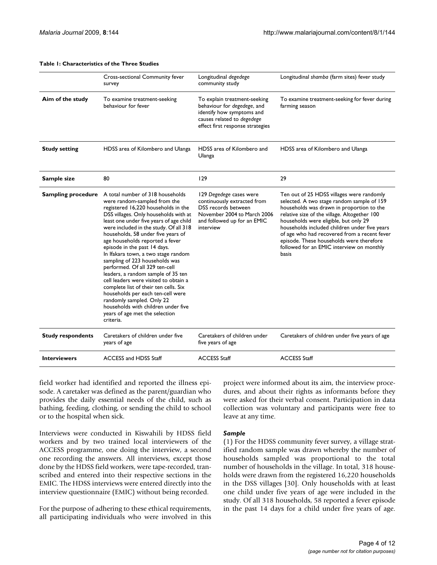#### **Table 1: Characteristics of the Three Studies**

|                           | Cross-sectional Community fever<br>survey                                                                                                                                                                                                                                                                                                                                                                                                                                                                                                                                                                                                                                                                                                 | Longitudinal degedege<br>community study                                                                                                                   | Longitudinal shamba (farm sites) fever study                                                                                                                                                                                                                                                                                                                                                                                     |
|---------------------------|-------------------------------------------------------------------------------------------------------------------------------------------------------------------------------------------------------------------------------------------------------------------------------------------------------------------------------------------------------------------------------------------------------------------------------------------------------------------------------------------------------------------------------------------------------------------------------------------------------------------------------------------------------------------------------------------------------------------------------------------|------------------------------------------------------------------------------------------------------------------------------------------------------------|----------------------------------------------------------------------------------------------------------------------------------------------------------------------------------------------------------------------------------------------------------------------------------------------------------------------------------------------------------------------------------------------------------------------------------|
| Aim of the study          | To examine treatment-seeking<br>behaviour for fever                                                                                                                                                                                                                                                                                                                                                                                                                                                                                                                                                                                                                                                                                       | To explain treatment-seeking<br>behaviour for degedege, and<br>identify how symptoms and<br>causes related to degedege<br>effect first response strategies | To examine treatment-seeking for fever during<br>farming season                                                                                                                                                                                                                                                                                                                                                                  |
| <b>Study setting</b>      | HDSS area of Kilombero and Ulanga                                                                                                                                                                                                                                                                                                                                                                                                                                                                                                                                                                                                                                                                                                         | HDSS area of Kilombero and<br>Ulanga                                                                                                                       | HDSS area of Kilombero and Ulanga                                                                                                                                                                                                                                                                                                                                                                                                |
| Sample size               | 80                                                                                                                                                                                                                                                                                                                                                                                                                                                                                                                                                                                                                                                                                                                                        | 129                                                                                                                                                        | 29                                                                                                                                                                                                                                                                                                                                                                                                                               |
| <b>Sampling procedure</b> | A total number of 318 households<br>were random-sampled from the<br>registered 16,220 households in the<br>DSS villages. Only households with at<br>least one under five years of age child<br>were included in the study. Of all 318<br>households, 58 under five years of<br>age households reported a fever<br>episode in the past 14 days.<br>In Ifakara town, a two stage random<br>sampling of 223 households was<br>performed. Of all 329 ten-cell<br>leaders, a random sample of 35 ten<br>cell leaders were visited to obtain a<br>complete list of their ten cells. Six<br>households per each ten-cell were<br>randomly sampled. Only 22<br>households with children under five<br>years of age met the selection<br>criteria. | 129 Degedege cases were<br>continuously extracted from<br>DSS records between<br>November 2004 to March 2006<br>and followed up for an EMIC<br>interview   | Ten out of 25 HDSS villages were randomly<br>selected. A two stage random sample of 159<br>households was drawn in proportion to the<br>relative size of the village. Altogether 100<br>households were eligible, but only 29<br>households included children under five years<br>of age who had recovered from a recent fever<br>episode. These households were therefore<br>followed for an EMIC interview on monthly<br>basis |
| <b>Study respondents</b>  | Caretakers of children under five<br>years of age                                                                                                                                                                                                                                                                                                                                                                                                                                                                                                                                                                                                                                                                                         | Caretakers of children under<br>five years of age                                                                                                          | Caretakers of children under five years of age                                                                                                                                                                                                                                                                                                                                                                                   |
| <b>Interviewers</b>       | <b>ACCESS and HDSS Staff</b>                                                                                                                                                                                                                                                                                                                                                                                                                                                                                                                                                                                                                                                                                                              | <b>ACCESS Staff</b>                                                                                                                                        | <b>ACCESS Staff</b>                                                                                                                                                                                                                                                                                                                                                                                                              |

field worker had identified and reported the illness episode. A caretaker was defined as the parent/guardian who provides the daily essential needs of the child, such as bathing, feeding, clothing, or sending the child to school or to the hospital when sick.

Interviews were conducted in Kiswahili by HDSS field workers and by two trained local interviewers of the ACCESS programme, one doing the interview, a second one recording the answers. All interviews, except those done by the HDSS field workers, were tape-recorded, transcribed and entered into their respective sections in the EMIC. The HDSS interviews were entered directly into the interview questionnaire (EMIC) without being recorded.

For the purpose of adhering to these ethical requirements, all participating individuals who were involved in this project were informed about its aim, the interview procedures, and about their rights as informants before they were asked for their verbal consent. Participation in data collection was voluntary and participants were free to leave at any time.

#### *Sample*

(1) For the HDSS community fever survey, a village stratified random sample was drawn whereby the number of households sampled was proportional to the total number of households in the village. In total, 318 households were drawn from the registered 16,220 households in the DSS villages [30]. Only households with at least one child under five years of age were included in the study. Of all 318 households, 58 reported a fever episode in the past 14 days for a child under five years of age.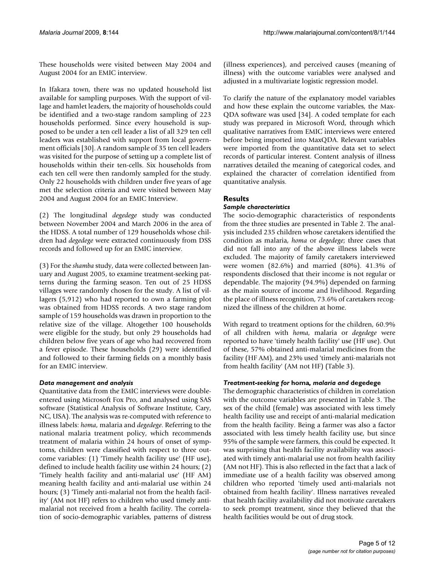These households were visited between May 2004 and August 2004 for an EMIC interview.

In Ifakara town, there was no updated household list available for sampling purposes. With the support of village and hamlet leaders, the majority of households could be identified and a two-stage random sampling of 223 households performed. Since every household is supposed to be under a ten cell leader a list of all 329 ten cell leaders was established with support from local government officials [30]. A random sample of 35 ten cell leaders was visited for the purpose of setting up a complete list of households within their ten-cells. Six households from each ten cell were then randomly sampled for the study. Only 22 households with children under five years of age met the selection criteria and were visited between May 2004 and August 2004 for an EMIC Interview.

(2) The longitudinal *degedege* study was conducted between November 2004 and March 2006 in the area of the HDSS. A total number of 129 households whose children had *degedege* were extracted continuously from DSS records and followed up for an EMIC interview.

(3) For the *shamba* study, data were collected between January and August 2005, to examine treatment-seeking patterns during the farming season. Ten out of 25 HDSS villages were randomly chosen for the study. A list of villagers (5,912) who had reported to own a farming plot was obtained from HDSS records. A two stage random sample of 159 households was drawn in proportion to the relative size of the village. Altogether 100 households were eligible for the study, but only 29 households had children below five years of age who had recovered from a fever episode. These households (29) were identified and followed to their farming fields on a monthly basis for an EMIC interview.

#### *Data management and analysis*

Quantitative data from the EMIC interviews were doubleentered using Microsoft Fox Pro, and analysed using SAS software (Statistical Analysis of Software Institute, Cary, NC, USA). The analysis was re-computed with reference to illness labels: *homa*, malaria and *degedege*. Referring to the national malaria treatment policy, which recommends treatment of malaria within 24 hours of onset of symptoms, children were classified with respect to three outcome variables: (1) 'Timely health facility use' (HF use), defined to include health facility use within 24 hours; (2) 'Timely health facility and anti-malarial use' (HF AM) meaning health facility and anti-malarial use within 24 hours; (3) 'Timely anti-malarial not from the health facility' (AM not HF) refers to children who used timely antimalarial not received from a health facility. The correlation of socio-demographic variables, patterns of distress

(illness experiences), and perceived causes (meaning of illness) with the outcome variables were analysed and adjusted in a multivariate logistic regression model.

To clarify the nature of the explanatory model variables and how these explain the outcome variables, the Max-QDA software was used [34]. A coded template for each study was prepared in Microsoft Word, through which qualitative narratives from EMIC interviews were entered before being imported into MaxQDA. Relevant variables were imported from the quantitative data set to select records of particular interest. Content analysis of illness narratives detailed the meaning of categorical codes, and explained the character of correlation identified from quantitative analysis.

# **Results**

#### *Sample characteristics*

The socio-demographic characteristics of respondents from the three studies are presented in Table 2. The analysis included 235 children whose caretakers identified the condition as malaria, *homa* or *degedege*; three cases that did not fall into any of the above illness labels were excluded. The majority of family caretakers interviewed were women (82.6%) and married (80%). 41.3% of respondents disclosed that their income is not regular or dependable. The majority (94.9%) depended on farming as the main source of income and livelihood. Regarding the place of illness recognition, 73.6% of caretakers recognized the illness of the children at home.

With regard to treatment options for the children, 60.9% of all children with *homa*, malaria or *degedege* were reported to have 'timely health facility' use (HF use). Out of these, 57% obtained anti-malarial medicines from the facility (HF AM), and 23% used 'timely anti-malarials not from health facility' (AM not HF) (Table 3).

#### *Treatment-seeking for* **homa***, malaria and* **degedege**

The demographic characteristics of children in correlation with the outcome variables are presented in Table 3. The sex of the child (female) was associated with less timely health facility use and receipt of anti-malarial medication from the health facility. Being a farmer was also a factor associated with less timely health facility use, but since 95% of the sample were farmers, this could be expected. It was surprising that health facility availability was associated with timely anti-malarial use not from health facility (AM not HF). This is also reflected in the fact that a lack of immediate use of a health facility was observed among children who reported 'timely used anti-malarials not obtained from health facility'. Illness narratives revealed that health facility availability did not motivate caretakers to seek prompt treatment, since they believed that the health facilities would be out of drug stock.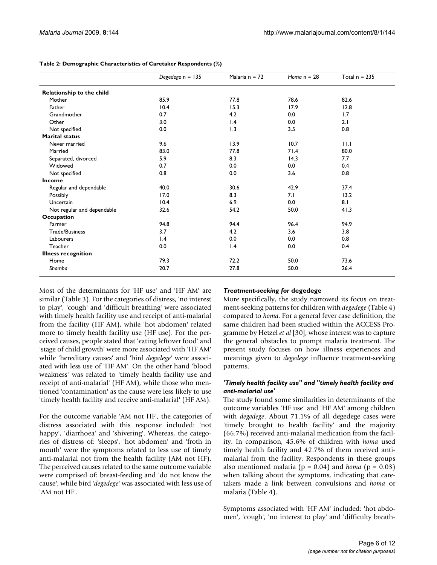|                            | Degedege $n = 135$ | Malaria $n = 72$ | Homa $n = 28$ | Total $n = 235$ |
|----------------------------|--------------------|------------------|---------------|-----------------|
| Relationship to the child  |                    |                  |               |                 |
| Mother                     | 85.9               | 77.8             | 78.6          | 82.6            |
| Father                     | 10.4               | 15.3             | 17.9          | 12.8            |
| Grandmother                | 0.7                | 4.2              | 0.0           | 1.7             |
| Other                      | 3.0                | 1.4              | 0.0           | 2.1             |
| Not specified              | 0.0                | 1.3              | 3.5           | 0.8             |
| <b>Marital status</b>      |                    |                  |               |                 |
| Never married              | 9.6                | 13.9             | 10.7          | 11.1            |
| Married                    | 83.0               | 77.8             | 71.4          | 80.0            |
| Separated, divorced        | 5.9                | 8.3              | 14.3          | 7.7             |
| Widowed                    | 0.7                | 0.0              | 0.0           | 0.4             |
| Not specified              | 0.8                | 0.0              | 3.6           | 0.8             |
| <b>Income</b>              |                    |                  |               |                 |
| Regular and dependable     | 40.0               | 30.6             | 42.9          | 37.4            |
| Possibly                   | 17.0               | 8.3              | 7.1           | 13.2            |
| Uncertain                  | 10.4               | 6.9              | 0.0           | 8.1             |
| Not regular and dependable | 32.6               | 54.2             | 50.0          | 41.3            |
| Occupation                 |                    |                  |               |                 |
| Farmer                     | 94.8               | 94.4             | 96.4          | 94.9            |
| <b>Trade/Business</b>      | 3.7                | 4.2              | 3.6           | 3.8             |
| Labourers                  | 1.4                | 0.0              | 0.0           | 0.8             |
| Teacher                    | 0.0                | 1.4              | 0.0           | 0.4             |
| <b>Illness recognition</b> |                    |                  |               |                 |
| Home                       | 79.3               | 72.2             | 50.0          | 73.6            |
| Shamba                     | 20.7               | 27.8             | 50.0          | 26.4            |

**Table 2: Demographic Characteristics of Caretaker Respondents (%)**

Most of the determinants for 'HF use' and 'HF AM' are similar (Table 3). For the categories of distress, 'no interest to play', 'cough' and 'difficult breathing' were associated with timely health facility use and receipt of anti-malarial from the facility (HF AM), while 'hot abdomen' related more to timely health facility use (HF use). For the perceived causes, people stated that 'eating leftover food' and 'stage of child growth' were more associated with 'HF AM' while 'hereditary causes' and 'bird *degedege*' were associated with less use of 'HF AM'. On the other hand 'blood weakness' was related to 'timely health facility use and receipt of anti-malarial' (HF AM), while those who mentioned 'contamination' as the cause were less likely to use 'timely health facility and receive anti-malarial' (HF AM).

For the outcome variable 'AM not HF', the categories of distress associated with this response included: 'not happy', 'diarrhoea' and 'shivering'. Whereas, the categories of distress of: 'sleeps', 'hot abdomen' and 'froth in mouth' were the symptoms related to less use of timely anti-malarial not from the health facility (AM not HF). The perceived causes related to the same outcome variable were comprised of: breast-feeding and 'do not know the cause', while bird '*degedege*' was associated with less use of 'AM not HF'.

#### *Treatment-seeking for* **degedege**

More specifically, the study narrowed its focus on treatment-seeking patterns for children with *degedege* (Table 4) compared to *homa*. For a general fever case definition, the same children had been studied within the ACCESS Programme by Hetzel *et al* [30], whose interest was to capture the general obstacles to prompt malaria treatment. The present study focuses on how illness experiences and meanings given to *degedege* influence treatment-seeking patterns.

#### *'Timely health facility use" and "timely health facility and anti-malarial use'*

The study found some similarities in determinants of the outcome variables 'HF use' and 'HF AM' among children with *degedege*. About 71.1% of all degedege cases were 'timely brought to health facility' and the majority (66.7%) received anti-malarial medication from the facility. In comparison, 45.6% of children with *homa* used timely health facility and 42.7% of them received antimalarial from the facility. Respondents in these groups also mentioned malaria ( $p = 0.04$ ) and *homa* ( $p = 0.03$ ) when talking about the symptoms, indicating that caretakers made a link between convulsions and *homa* or malaria (Table 4).

Symptoms associated with 'HF AM' included: 'hot abdomen', 'cough', 'no interest to play' and 'difficulty breath-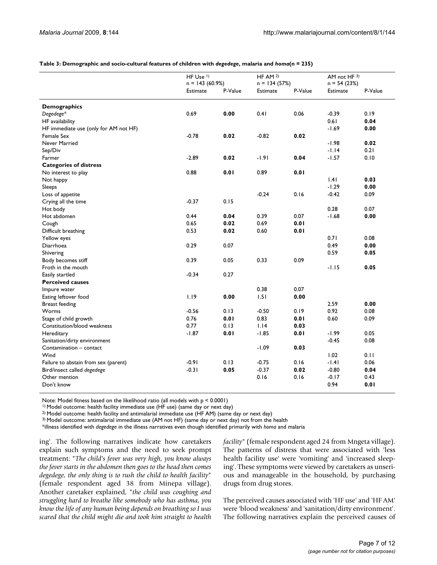#### **Table 3: Demographic and socio-cultural features of children with** *degedege***, malaria and** *homa***(n = 235)**

|                                       | HF Use <sup>1</sup> |         |                | HF AM $2)$ |               | AM not $HF3$ |
|---------------------------------------|---------------------|---------|----------------|------------|---------------|--------------|
|                                       | $n = 143(60.9%)$    |         | $n = 134(57%)$ |            | $n = 54(23%)$ |              |
|                                       | Estimate            | P-Value | Estimate       | P-Value    | Estimate      | P-Value      |
| <b>Demographics</b>                   |                     |         |                |            |               |              |
| Degedege*                             | 0.69                | 0.00    | 0.41           | 0.06       | $-0.39$       | 0.19         |
| HF availability                       |                     |         |                |            | 0.61          | 0.04         |
| HF immediate use (only for AM not HF) |                     |         |                |            | $-1.69$       | 0.00         |
| Female Sex                            | $-0.78$             | 0.02    | $-0.82$        | 0.02       |               |              |
| Never Married                         |                     |         |                |            | $-1.98$       | 0.02         |
| Sep/Div                               |                     |         |                |            | $-1.14$       | 0.21         |
| Farmer                                | $-2.89$             | 0.02    | $-1.91$        | 0.04       | $-1.57$       | 0.10         |
| <b>Categories of distress</b>         |                     |         |                |            |               |              |
| No interest to play                   | 0.88                | 0.01    | 0.89           | 0.01       |               |              |
| Not happy                             |                     |         |                |            | .4            | 0.03         |
| Sleeps                                |                     |         |                |            | $-1.29$       | 0.00         |
| Loss of appetite                      |                     |         | $-0.24$        | 0.16       | $-0.42$       | 0.09         |
| Crying all the time                   | $-0.37$             | 0.15    |                |            |               |              |
| Hot body                              |                     |         |                |            | 0.28          | 0.07         |
| Hot abdomen                           | 0.44                | 0.04    | 0.39           | 0.07       | $-1.68$       | 0.00         |
| Cough                                 | 0.65                | 0.02    | 0.69           | 0.01       |               |              |
| Difficult breathing                   | 0.53                | 0.02    | 0.60           | 0.01       |               |              |
| Yellow eyes                           |                     |         |                |            | 0.71          | 0.08         |
| Diarrhoea                             | 0.29                | 0.07    |                |            | 0.49          | 0.00         |
| Shivering                             |                     |         |                |            | 0.59          | 0.05         |
| Body becomes stiff                    | 0.39                | 0.05    | 0.33           | 0.09       |               |              |
| Froth in the mouth                    |                     |         |                |            | $-1.15$       | 0.05         |
| Easily startled                       | $-0.34$             | 0.27    |                |            |               |              |
| <b>Perceived causes</b>               |                     |         |                |            |               |              |
| Impure water                          |                     |         | 0.38           | 0.07       |               |              |
| Eating leftover food                  | 1.19                | 0.00    | 1.51           | 0.00       |               |              |
| <b>Breast feeding</b>                 |                     |         |                |            | 2.59          | 0.00         |
| Worms                                 | $-0.56$             | 0.13    | $-0.50$        | 0.19       | 0.92          | 0.08         |
| Stage of child growth                 | 0.76                | 0.01    | 0.83           | 0.01       | 0.60          | 0.09         |
| Constitution/blood weakness           | 0.77                | 0.13    | 1.14           | 0.03       |               |              |
| Hereditary                            | $-1.87$             | 0.01    | $-1.85$        | 0.01       | $-1.99$       | 0.05         |
| Sanitation/dirty environment          |                     |         |                |            | $-0.45$       | 0.08         |
| Contamination - contact               |                     |         | $-1.09$        | 0.03       |               |              |
| Wind                                  |                     |         |                |            | 1.02          | 0.11         |
| Failure to abstain from sex (parent)  | $-0.91$             | 0.13    | $-0.75$        | 0.16       | $-1.41$       | 0.06         |
| Bird/insect called degedege           | $-0.31$             | 0.05    | $-0.37$        | 0.02       | $-0.80$       | 0.04         |
| Other mention                         |                     |         | 0.16           | 0.16       | $-0.17$       | 0.43         |
| Don't know                            |                     |         |                |            | 0.94          | 0.01         |
|                                       |                     |         |                |            |               |              |

Note: Model fitness based on the likelihood ratio (all models with p < 0.0001)

1) Model outcome: health facility immediate use (HF use) (same day or next day)

<sup>2)</sup> Model outcome: health facility and antimalarial immediate use (HF AM) (same day or next day)

3) Model outcome: antimalarial immediate use (AM not HF) (same day or next day) not from the health

\*illness identified with *degedege* in the illness narratives even though identified primarily with *homa* and malaria

ing'. The following narratives indicate how caretakers explain such symptoms and the need to seek prompt treatment: "*The child's fever was very high, you know always the fever starts in the abdomen then goes to the head then comes degedege, the only thing is to rush the child to health facility*" (female respondent aged 38 from Minepa village). Another caretaker explained, "*the child was coughing and struggling hard to breathe like somebody who has asthma, you know the life of any human being depends on breathing so I was scared that the child might die and took him straight to health* *facility*" (female respondent aged 24 from Mngeta village). The patterns of distress that were associated with 'less health facility use' were 'vomiting' and 'increased sleeping'. These symptoms were viewed by caretakers as unserious and manageable in the household, by purchasing drugs from drug stores.

The perceived causes associated with 'HF use' and 'HF AM' were 'blood weakness' and 'sanitation/dirty environment'. The following narratives explain the perceived causes of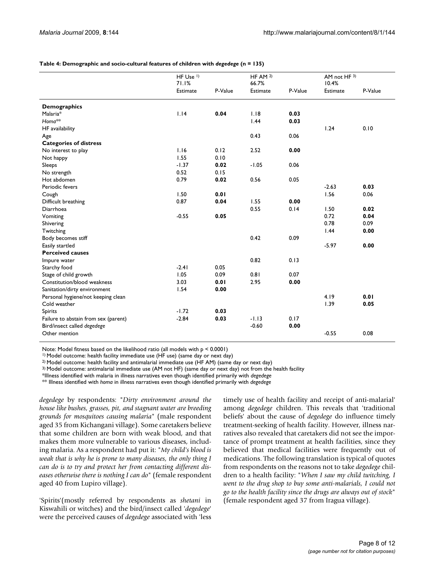#### **Table 4: Demographic and socio-cultural features of children with** *degedege* **(n = 135)**

| 71.1%<br>10.4%<br>66.7%<br>P-Value<br>P-Value<br>P-Value<br>Estimate<br>Estimate<br>Estimate<br><b>Demographics</b><br>Malaria*<br>1.14<br>0.04<br>1.18<br>0.03<br>$H$ oma $*$<br>1.44<br>0.03<br>1.24<br>0.10<br>HF availability<br>0.43<br>0.06<br>Age<br><b>Categories of distress</b><br>1.16<br>No interest to play<br>0.12<br>2.52<br>0.00<br>1.55<br>0.10<br>Not happy<br>$-1.37$<br>0.02<br>$-1.05$<br>0.06<br>Sleeps<br>0.52<br>0.15<br>No strength<br>0.79<br>0.02<br>0.56<br>0.05<br>Hot abdomen<br>$-2.63$<br>0.03<br>Periodic fevers<br>1.50<br>0.01<br>1.56<br>0.06<br>Cough<br>0.87<br>0.04<br>0.00<br>1.55<br>Difficult breathing<br>0.55<br>Diarrhoea<br>0.14<br>1.50<br>0.02<br>$-0.55$<br>0.72<br>0.05<br>0.04<br>Vomiting<br>0.78<br>0.09<br>Shivering<br>1.44<br>0.00<br>Twitching<br>0.42<br>0.09<br>Body becomes stiff<br>$-5.97$<br>0.00<br>Easily startled<br><b>Perceived causes</b><br>0.82<br>0.13<br>Impure water<br>$-2.41$<br>0.05<br>Starchy food<br>1.05<br>0.81<br>Stage of child growth<br>0.09<br>0.07 |                             | $HF$ Use $\vert$ ) |      | HFAM <sup>2</sup> |      | AM not HF 3) |  |
|--------------------------------------------------------------------------------------------------------------------------------------------------------------------------------------------------------------------------------------------------------------------------------------------------------------------------------------------------------------------------------------------------------------------------------------------------------------------------------------------------------------------------------------------------------------------------------------------------------------------------------------------------------------------------------------------------------------------------------------------------------------------------------------------------------------------------------------------------------------------------------------------------------------------------------------------------------------------------------------------------------------------------------------------|-----------------------------|--------------------|------|-------------------|------|--------------|--|
|                                                                                                                                                                                                                                                                                                                                                                                                                                                                                                                                                                                                                                                                                                                                                                                                                                                                                                                                                                                                                                            |                             |                    |      |                   |      |              |  |
|                                                                                                                                                                                                                                                                                                                                                                                                                                                                                                                                                                                                                                                                                                                                                                                                                                                                                                                                                                                                                                            |                             |                    |      |                   |      |              |  |
|                                                                                                                                                                                                                                                                                                                                                                                                                                                                                                                                                                                                                                                                                                                                                                                                                                                                                                                                                                                                                                            |                             |                    |      |                   |      |              |  |
|                                                                                                                                                                                                                                                                                                                                                                                                                                                                                                                                                                                                                                                                                                                                                                                                                                                                                                                                                                                                                                            |                             |                    |      |                   |      |              |  |
|                                                                                                                                                                                                                                                                                                                                                                                                                                                                                                                                                                                                                                                                                                                                                                                                                                                                                                                                                                                                                                            |                             |                    |      |                   |      |              |  |
|                                                                                                                                                                                                                                                                                                                                                                                                                                                                                                                                                                                                                                                                                                                                                                                                                                                                                                                                                                                                                                            |                             |                    |      |                   |      |              |  |
|                                                                                                                                                                                                                                                                                                                                                                                                                                                                                                                                                                                                                                                                                                                                                                                                                                                                                                                                                                                                                                            |                             |                    |      |                   |      |              |  |
|                                                                                                                                                                                                                                                                                                                                                                                                                                                                                                                                                                                                                                                                                                                                                                                                                                                                                                                                                                                                                                            |                             |                    |      |                   |      |              |  |
|                                                                                                                                                                                                                                                                                                                                                                                                                                                                                                                                                                                                                                                                                                                                                                                                                                                                                                                                                                                                                                            |                             |                    |      |                   |      |              |  |
|                                                                                                                                                                                                                                                                                                                                                                                                                                                                                                                                                                                                                                                                                                                                                                                                                                                                                                                                                                                                                                            |                             |                    |      |                   |      |              |  |
|                                                                                                                                                                                                                                                                                                                                                                                                                                                                                                                                                                                                                                                                                                                                                                                                                                                                                                                                                                                                                                            |                             |                    |      |                   |      |              |  |
|                                                                                                                                                                                                                                                                                                                                                                                                                                                                                                                                                                                                                                                                                                                                                                                                                                                                                                                                                                                                                                            |                             |                    |      |                   |      |              |  |
|                                                                                                                                                                                                                                                                                                                                                                                                                                                                                                                                                                                                                                                                                                                                                                                                                                                                                                                                                                                                                                            |                             |                    |      |                   |      |              |  |
|                                                                                                                                                                                                                                                                                                                                                                                                                                                                                                                                                                                                                                                                                                                                                                                                                                                                                                                                                                                                                                            |                             |                    |      |                   |      |              |  |
|                                                                                                                                                                                                                                                                                                                                                                                                                                                                                                                                                                                                                                                                                                                                                                                                                                                                                                                                                                                                                                            |                             |                    |      |                   |      |              |  |
|                                                                                                                                                                                                                                                                                                                                                                                                                                                                                                                                                                                                                                                                                                                                                                                                                                                                                                                                                                                                                                            |                             |                    |      |                   |      |              |  |
|                                                                                                                                                                                                                                                                                                                                                                                                                                                                                                                                                                                                                                                                                                                                                                                                                                                                                                                                                                                                                                            |                             |                    |      |                   |      |              |  |
|                                                                                                                                                                                                                                                                                                                                                                                                                                                                                                                                                                                                                                                                                                                                                                                                                                                                                                                                                                                                                                            |                             |                    |      |                   |      |              |  |
|                                                                                                                                                                                                                                                                                                                                                                                                                                                                                                                                                                                                                                                                                                                                                                                                                                                                                                                                                                                                                                            |                             |                    |      |                   |      |              |  |
|                                                                                                                                                                                                                                                                                                                                                                                                                                                                                                                                                                                                                                                                                                                                                                                                                                                                                                                                                                                                                                            |                             |                    |      |                   |      |              |  |
|                                                                                                                                                                                                                                                                                                                                                                                                                                                                                                                                                                                                                                                                                                                                                                                                                                                                                                                                                                                                                                            |                             |                    |      |                   |      |              |  |
|                                                                                                                                                                                                                                                                                                                                                                                                                                                                                                                                                                                                                                                                                                                                                                                                                                                                                                                                                                                                                                            |                             |                    |      |                   |      |              |  |
|                                                                                                                                                                                                                                                                                                                                                                                                                                                                                                                                                                                                                                                                                                                                                                                                                                                                                                                                                                                                                                            |                             |                    |      |                   |      |              |  |
|                                                                                                                                                                                                                                                                                                                                                                                                                                                                                                                                                                                                                                                                                                                                                                                                                                                                                                                                                                                                                                            |                             |                    |      |                   |      |              |  |
|                                                                                                                                                                                                                                                                                                                                                                                                                                                                                                                                                                                                                                                                                                                                                                                                                                                                                                                                                                                                                                            |                             |                    |      |                   |      |              |  |
|                                                                                                                                                                                                                                                                                                                                                                                                                                                                                                                                                                                                                                                                                                                                                                                                                                                                                                                                                                                                                                            |                             |                    |      |                   |      |              |  |
|                                                                                                                                                                                                                                                                                                                                                                                                                                                                                                                                                                                                                                                                                                                                                                                                                                                                                                                                                                                                                                            | Constitution/blood weakness | 3.03               | 0.01 | 2.95              | 0.00 |              |  |
| 1.54<br>0.00<br>Sanitation/dirty environment                                                                                                                                                                                                                                                                                                                                                                                                                                                                                                                                                                                                                                                                                                                                                                                                                                                                                                                                                                                               |                             |                    |      |                   |      |              |  |
| 4.19<br>0.01<br>Personal hygiene/not keeping clean                                                                                                                                                                                                                                                                                                                                                                                                                                                                                                                                                                                                                                                                                                                                                                                                                                                                                                                                                                                         |                             |                    |      |                   |      |              |  |
| Cold weather<br>1.39<br>0.05                                                                                                                                                                                                                                                                                                                                                                                                                                                                                                                                                                                                                                                                                                                                                                                                                                                                                                                                                                                                               |                             |                    |      |                   |      |              |  |
| $-1.72$<br>0.03<br>Spirits                                                                                                                                                                                                                                                                                                                                                                                                                                                                                                                                                                                                                                                                                                                                                                                                                                                                                                                                                                                                                 |                             |                    |      |                   |      |              |  |
| $-1.13$<br>$-2.84$<br>0.03<br>0.17<br>Failure to abstain from sex (parent)                                                                                                                                                                                                                                                                                                                                                                                                                                                                                                                                                                                                                                                                                                                                                                                                                                                                                                                                                                 |                             |                    |      |                   |      |              |  |
| $-0.60$<br>0.00<br>Bird/insect called degedege                                                                                                                                                                                                                                                                                                                                                                                                                                                                                                                                                                                                                                                                                                                                                                                                                                                                                                                                                                                             |                             |                    |      |                   |      |              |  |
| $-0.55$<br>0.08<br>Other mention                                                                                                                                                                                                                                                                                                                                                                                                                                                                                                                                                                                                                                                                                                                                                                                                                                                                                                                                                                                                           |                             |                    |      |                   |      |              |  |

Note: Model fitness based on the likelihood ratio (all models with p < 0.0001)

1) Model outcome: health facility immediate use (HF use) (same day or next day)

2) Model outcome: health facility and antimalarial immediate use (HF AM) (same day or next day)

3) Model outcome: antimalarial immediate use (AM not HF) (same day or next day) not from the health facility

\*Illness identified with malaria in illness narratives even though identified primarily with *degedege*

\*\* Illness identified with *homa* in illness narratives even though identified primarily with *degedege*

*degedege* by respondents: "*Dirty environment around the house like bushes, grasses, pit, and stagnant water are breeding grounds for mosquitoes causing malaria*" (male respondent aged 35 from Kichangani village). Some caretakers believe that some children are born with weak blood, and that makes them more vulnerable to various diseases, including malaria. As a respondent had put it: "*My child's blood is weak that is why he is prone to many diseases, the only thing I can do is to try and protect her from contacting different diseases otherwise there is nothing I can do*" (female respondent aged 40 from Lupiro village).

'Spirits'(mostly referred by respondents as *shetani* in Kiswahili or witches) and the bird/insect called '*degedege*' were the perceived causes of *degedege* associated with 'less

timely use of health facility and receipt of anti-malarial' among *degedege* children. This reveals that 'traditional beliefs' about the cause of *degedege* do influence timely treatment-seeking of health facility. However, illness narratives also revealed that caretakers did not see the importance of prompt treatment at health facilities, since they believed that medical facilities were frequently out of medications. The following translation is typical of quotes from respondents on the reasons not to take *degedege* children to a health facility: "*When I saw my child twitching, I went to the drug shop to buy some anti-malarials, I could not go to the health facility since the drugs are always out of stock*" (female respondent aged 37 from Iragua village).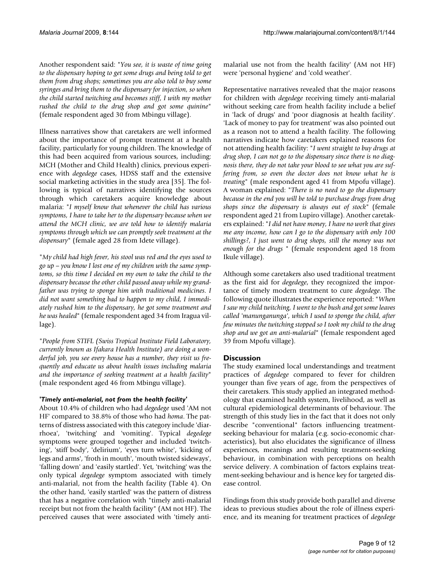Another respondent said: "*You see, it is waste of time going to the dispensary hoping to get some drugs and being told to get them from drug shops; sometimes you are also told to buy some syringes and bring them to the dispensary for injection, so when the child started twitching and becomes stiff, I with my mother rushed the child to the drug shop and got some quinine*" (female respondent aged 30 from Mbingu village).

Illness narratives show that caretakers are well informed about the importance of prompt treatment at a health facility, particularly for young children. The knowledge of this had been acquired from various sources, including: MCH (Mother and Child Health) clinics, previous experience with *degedege* cases, HDSS staff and the extensive social marketing activities in the study area [35]. The following is typical of narratives identifying the sources through which caretakers acquire knowledge about malaria: "*I myself know that whenever the child has various symptoms, I have to take her to the dispensary because when we attend the MCH clinic, we are told how to identify malaria symptoms through which we can promptly seek treatment at the dispensary*" (female aged 28 from Idete village).

"*My child had high fever, his stool was red and the eyes used to go up – you know I lost one of my children with the same symptoms, so this time I decided on my own to take the child to the dispensary because the other child passed away while my grandfather was trying to sponge him with traditional medicines. I did not want something bad to happen to my child, I immediately rushed him to the dispensary, he got some treatment and he was healed*" (female respondent aged 34 from Iragua village).

"*People from STIFL (Swiss Tropical Institute Field Laboratory, currently known as Ifakara Health Institute) are doing a wonderful job, you see every house has a number, they visit us frequently and educate us about health issues including malaria and the importance of seeking treatment at a health facility*" (male respondent aged 46 from Mbingu village).

#### *'Timely anti-malarial, not from the health facility'*

About 10.4% of children who had *degedege* used 'AM not HF' compared to 38.8% of those who had *homa*. The patterns of distress associated with this category include 'diarrhoea', 'twitching' and 'vomiting'. Typical *degedege* symptoms were grouped together and included 'twitching', 'stiff body', 'delirium', 'eyes turn white', 'kicking of legs and arms', 'froth in mouth', 'mouth twisted sideways', 'falling down' and 'easily startled'. Yet, 'twitching' was the only typical *degedege* symptom associated with timely anti-malarial, not from the health facility (Table 4). On the other hand, 'easily startled' was the pattern of distress that has a negative correlation with "timely anti-malarial receipt but not from the health facility" (AM not HF). The perceived causes that were associated with 'timely antimalarial use not from the health facility' (AM not HF) were 'personal hygiene' and 'cold weather'.

Representative narratives revealed that the major reasons for children with *degedege* receiving timely anti-malarial without seeking care from health facility include a belief in 'lack of drugs' and 'poor diagnosis at health facility'. 'Lack of money to pay for treatment' was also pointed out as a reason not to attend a health facility. The following narratives indicate how caretakers explained reasons for not attending health facility: "*I went straight to buy drugs at drug shop, I can not go to the dispensary since there is no diagnosis there, they do not take your blood to see what you are suffering from, so even the doctor does not know what he is treating*" (male respondent aged 41 from Mpofu village). A woman explained: "*There is no need to go the dispensary because in the end you will be told to purchase drugs from drug shops since the dispensary is always out of stock*" (female respondent aged 21 from Lupiro village). Another caretakers explained: "*I did not have money, I have no work that gives me any income, how can I go to the dispensary with only 100 shillings?, I just went to drug shops, still the money was not enough for the drugs* " (female respondent aged 18 from Ikule village).

Although some caretakers also used traditional treatment as the first aid for *degedege*, they recognized the importance of timely modern treatment to cure *degedege*. The following quote illustrates the experience reported: "*When I saw my child twitching, I went to the bush and got some leaves called 'manunganunga', which I used to sponge the child, after few minutes the twitching stopped so I took my child to the drug shop and we got an anti-malarial*" (female respondent aged 39 from Mpofu village).

# **Discussion**

The study examined local understandings and treatment practices of *degedege* compared to fever for children younger than five years of age, from the perspectives of their caretakers. This study applied an integrated methodology that examined health system, livelihood, as well as cultural epidemiological determinants of behaviour. The strength of this study lies in the fact that it does not only describe "conventional" factors influencing treatmentseeking behaviour for malaria (e.g. socio-economic characteristics), but also elucidates the significance of illness experiences, meanings and resulting treatment-seeking behaviour, in combination with perceptions on health service delivery. A combination of factors explains treatment-seeking behaviour and is hence key for targeted disease control.

Findings from this study provide both parallel and diverse ideas to previous studies about the role of illness experience, and its meaning for treatment practices of *degedege*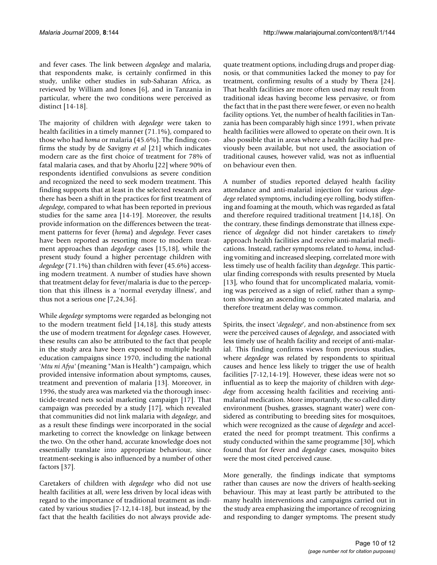and fever cases. The link between *degedege* and malaria, that respondents make, is certainly confirmed in this study, unlike other studies in sub-Saharan Africa, as reviewed by William and Jones [6], and in Tanzania in particular, where the two conditions were perceived as distinct [14-18].

The majority of children with *degedege* were taken to health facilities in a timely manner (71.1%), compared to those who had *homa* or malaria (45.6%). The finding confirms the study by de Savigny *et al* [21] which indicates modern care as the first choice of treatment for 78% of fatal malaria cases, and that by Ahorlu [22] where 90% of respondents identified convulsions as severe condition and recognized the need to seek modern treatment. This finding supports that at least in the selected research area there has been a shift in the practices for first treatment of *degedege*, compared to what has been reported in previous studies for the same area [14-19]. Moreover, the results provide information on the differences between the treatment patterns for fever (*homa*) and *degedege*. Fever cases have been reported as resorting more to modern treatment approaches than *degedege* cases [15,18], while the present study found a higher percentage children with *degedege* (71.1%) than children with fever (45.6%) accessing modern treatment. A number of studies have shown that treatment delay for fever/malaria is due to the perception that this illness is a 'normal everyday illness', and thus not a serious one [7,24,36].

While *degedege* symptoms were regarded as belonging not to the modern treatment field [14,18], this study attests the use of modern treatment for *degedege* cases. However, these results can also be attributed to the fact that people in the study area have been exposed to multiple health education campaigns since 1970, including the national '*Mtu ni Afya'* (meaning "Man is Health") campaign, which provided intensive information about symptoms, causes, treatment and prevention of malaria [13]. Moreover, in 1996, the study area was marketed via the thorough insecticide-treated nets social marketing campaign [17]. That campaign was preceded by a study [17], which revealed that communities did not link malaria with *degedege*, and as a result these findings were incorporated in the social marketing to correct the knowledge on linkage between the two. On the other hand, accurate knowledge does not essentially translate into appropriate behaviour, since treatment-seeking is also influenced by a number of other factors [37].

Caretakers of children with *degedege* who did not use health facilities at all, were less driven by local ideas with regard to the importance of traditional treatment as indicated by various studies [7-12,14-18], but instead, by the fact that the health facilities do not always provide adequate treatment options, including drugs and proper diagnosis, or that communities lacked the money to pay for treatment, confirming results of a study by Thera [24]. That health facilities are more often used may result from traditional ideas having become less pervasive, or from the fact that in the past there were fewer, or even no health facility options. Yet, the number of health facilities in Tanzania has been comparably high since 1991, when private health facilities were allowed to operate on their own. It is also possible that in areas where a health facility had previously been available, but not used, the association of traditional causes, however valid, was not as influential on behaviour even then.

A number of studies reported delayed health facility attendance and anti-malarial injection for various *degedege* related symptoms, including eye rolling, body stiffening and foaming at the mouth, which was regarded as fatal and therefore required traditional treatment [14,18]. On the contrary, these findings demonstrate that illness experience of *degedege* did not hinder caretakers to *timely* approach health facilities and receive anti-malarial medications. Instead, rather symptoms related to *homa*, including vomiting and increased sleeping, correlated more with less timely use of health facility than *degedege*. This particular finding corresponds with results presented by Muela [13], who found that for uncomplicated malaria, vomiting was perceived as a sign of relief, rather than a symptom showing an ascending to complicated malaria, and therefore treatment delay was common.

Spirits, the insect '*degedege*', and non-abstinence from sex were the perceived causes of *degedege*, and associated with less timely use of health facility and receipt of anti-malarial. This finding confirms views from previous studies, where *degedege* was related by respondents to spiritual causes and hence less likely to trigger the use of health facilities [7-12,14-19]. However, these ideas were not so influential as to keep the majority of children with *degedege* from accessing health facilities and receiving antimalarial medication. More importantly, the so called dirty environment (bushes, grasses, stagnant water) were considered as contributing to breeding sites for mosquitoes, which were recognized as the cause of *degedege* and accelerated the need for prompt treatment. This confirms a study conducted within the same programme [30], which found that for fever and *degedege* cases, mosquito bites were the most cited perceived cause.

More generally, the findings indicate that symptoms rather than causes are now the drivers of health-seeking behaviour. This may at least partly be attributed to the many health interventions and campaigns carried out in the study area emphasizing the importance of recognizing and responding to danger symptoms. The present study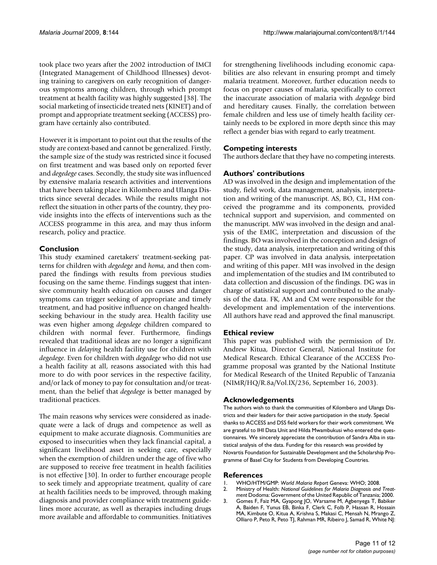took place two years after the 2002 introduction of IMCI (Integrated Management of Childhood Illnesses) devoting training to caregivers on early recognition of dangerous symptoms among children, through which prompt treatment at health facility was highly suggested [38]. The social marketing of insecticide treated nets (KINET) and of prompt and appropriate treatment seeking (ACCESS) program have certainly also contributed.

However it is important to point out that the results of the study are context-based and cannot be generalized. Firstly, the sample size of the study was restricted since it focused on first treatment and was based only on reported fever and *degedege* cases. Secondly, the study site was influenced by extensive malaria research activities and interventions that have been taking place in Kilombero and Ulanga Districts since several decades. While the results might not reflect the situation in other parts of the country, they provide insights into the effects of interventions such as the ACCESS programme in this area, and may thus inform research, policy and practice.

## **Conclusion**

This study examined caretakers' treatment-seeking patterns for children with *degedege* and *homa*, and then compared the findings with results from previous studies focusing on the same theme. Findings suggest that intensive community health education on causes and danger symptoms can trigger seeking of appropriate and timely treatment, and had positive influence on changed healthseeking behaviour in the study area. Health facility use was even higher among *degedege* children compared to children with normal fever. Furthermore, findings revealed that traditional ideas are no longer a significant influence in *delaying* health facility use for children with *degedege*. Even for children with *degedege* who did not use a health facility at all, reasons associated with this had more to do with poor services in the respective facility, and/or lack of money to pay for consultation and/or treatment, than the belief that *degedege* is better managed by traditional practices.

The main reasons why services were considered as inadequate were a lack of drugs and competence as well as equipment to make accurate diagnosis. Communities are exposed to insecurities when they lack financial capital, a significant livelihood asset in seeking care, especially when the exemption of children under the age of five who are supposed to receive free treatment in health facilities is not effective [30]. In order to further encourage people to seek timely and appropriate treatment, quality of care at health facilities needs to be improved, through making diagnosis and provider compliance with treatment guidelines more accurate, as well as therapies including drugs more available and affordable to communities. Initiatives for strengthening livelihoods including economic capabilities are also relevant in ensuring prompt and timely malaria treatment. Moreover, further education needs to focus on proper causes of malaria, specifically to correct the inaccurate association of malaria with *degedege* bird and hereditary causes. Finally, the correlation between female children and less use of timely health facility certainly needs to be explored in more depth since this may reflect a gender bias with regard to early treatment.

## **Competing interests**

The authors declare that they have no competing interests.

## **Authors' contributions**

AD was involved in the design and implementation of the study, field work, data management, analysis, interpretation and writing of the manuscript. AS, BO, CL, HM conceived the programme and its components, provided technical support and supervision, and commented on the manuscript. MW was involved in the design and analysis of the EMIC, interpretation and discussion of the findings. BO was involved in the conception and design of the study, data analysis, interpretation and writing of this paper. CP was involved in data analysis, interpretation and writing of this paper. MH was involved in the design and implementation of the studies and IM contributed to data collection and discussion of the findings. DG was in charge of statistical support and contributed to the analysis of the data. FK, AM and CM were responsible for the development and implementation of the interventions. All authors have read and approved the final manuscript.

#### **Ethical review**

This paper was published with the permission of Dr. Andrew Kitua, Director General, National Institute for Medical Research. Ethical Clearance of the ACCESS Programme proposal was granted by the National Institute for Medical Research of the United Republic of Tanzania (NIMR/HQ/R.8a/Vol.IX/236, September 16, 2003).

#### **Acknowledgements**

The authors wish to thank the communities of Kilombero and Ulanga Districts and their leaders for their active participation in the study. Special thanks to ACCESS and DSS field workers for their work commitment. We are grateful to IHI Data Unit and Hilda Mwambukusi who entered the questionnaires. We sincerely appreciate the contribution of Sandra Alba in statistical analysis of the data. Funding for this research was provided by Novartis Foundation for Sustainable Development and the Scholarship Programme of Basel City for Students from Developing Countries.

#### **References**

- 1. WHO/HTM/GMP: *World Malaria Report* Geneva: WHO; 2008.
- 2. Ministry of Health: *National Guidelines for Malaria Diagnosis and Treatment* Dodoma: Government of the United Republic of Tanzania; 2000.
- 3. Gomes F, Faiz MA, Gyapong JO, Warsame M, Agbenyega T, Babiker A, Baiden F, Yunus EB, Binka F, Clerk C, Folb P, Hassan R, Hossain MA, Kimbute O, Kitua A, Krishna S, Makasi C, Mensah N, Mrango Z, Olliaro P, Peto R, Peto TJ, Rahman MR, Ribeiro J, Samad R, White NJ: